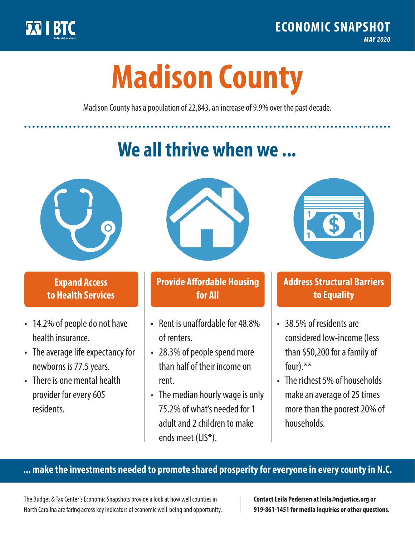

**1**

# **Madison County**

Madison County has a population of 22,843, an increase of 9.9% over the past decade.

# **We all thrive when we ...**



**\$ <sup>1</sup>**

**\$ <sup>1</sup>**

#### **Expand Access to Health Services**

- 14.2% of people do not have health insurance.
- The average life expectancy for newborns is 77.5 years.
- There is one mental health provider for every 605 residents.



## **Provide Affordable Housing for All**

- Rent is unaffordable for 48.8% of renters.
- 28.3% of people spend more than half of their income on rent.
- The median hourly wage is only 75.2% of what's needed for 1 adult and 2 children to make ends meet (LIS\*).



## **Address Structural Barriers to Equality**

- 38.5% of residents are considered low-income (less than \$50,200 for a family of four).\*\*
- The richest 5% of households make an average of 25 times more than the poorest 20% of households.

#### **... make the investments needed to promote shared prosperity for everyone in every county in N.C.**

The Budget & Tax Center's Economic Snapshots provide a look at how well counties in North Carolina are faring across key indicators of economic well-being and opportunity.